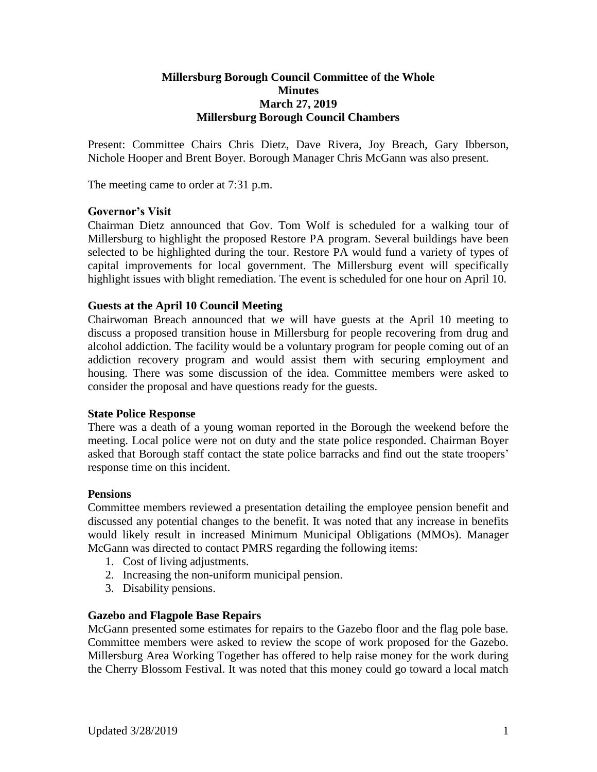#### **Millersburg Borough Council Committee of the Whole Minutes March 27, 2019 Millersburg Borough Council Chambers**

Present: Committee Chairs Chris Dietz, Dave Rivera, Joy Breach, Gary Ibberson, Nichole Hooper and Brent Boyer. Borough Manager Chris McGann was also present.

The meeting came to order at 7:31 p.m.

#### **Governor's Visit**

Chairman Dietz announced that Gov. Tom Wolf is scheduled for a walking tour of Millersburg to highlight the proposed Restore PA program. Several buildings have been selected to be highlighted during the tour. Restore PA would fund a variety of types of capital improvements for local government. The Millersburg event will specifically highlight issues with blight remediation. The event is scheduled for one hour on April 10.

#### **Guests at the April 10 Council Meeting**

Chairwoman Breach announced that we will have guests at the April 10 meeting to discuss a proposed transition house in Millersburg for people recovering from drug and alcohol addiction. The facility would be a voluntary program for people coming out of an addiction recovery program and would assist them with securing employment and housing. There was some discussion of the idea. Committee members were asked to consider the proposal and have questions ready for the guests.

#### **State Police Response**

There was a death of a young woman reported in the Borough the weekend before the meeting. Local police were not on duty and the state police responded. Chairman Boyer asked that Borough staff contact the state police barracks and find out the state troopers' response time on this incident.

#### **Pensions**

Committee members reviewed a presentation detailing the employee pension benefit and discussed any potential changes to the benefit. It was noted that any increase in benefits would likely result in increased Minimum Municipal Obligations (MMOs). Manager McGann was directed to contact PMRS regarding the following items:

- 1. Cost of living adjustments.
- 2. Increasing the non-uniform municipal pension.
- 3. Disability pensions.

#### **Gazebo and Flagpole Base Repairs**

McGann presented some estimates for repairs to the Gazebo floor and the flag pole base. Committee members were asked to review the scope of work proposed for the Gazebo. Millersburg Area Working Together has offered to help raise money for the work during the Cherry Blossom Festival. It was noted that this money could go toward a local match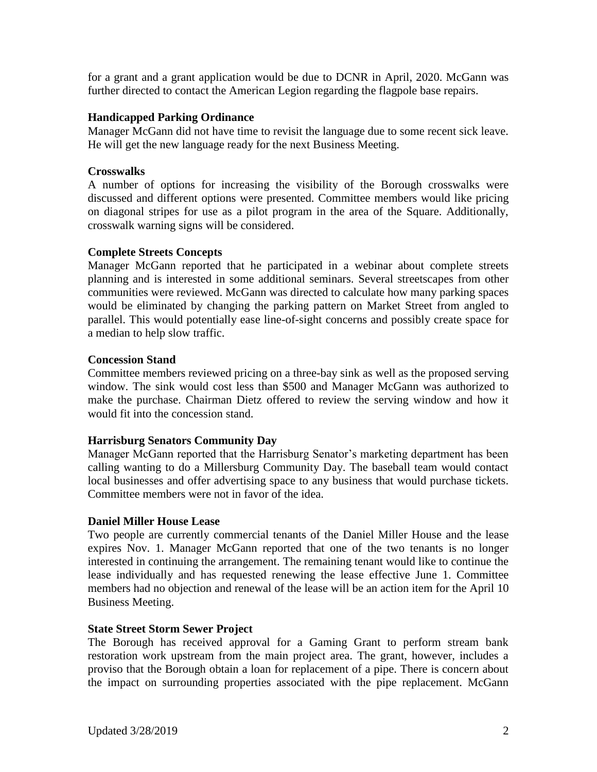for a grant and a grant application would be due to DCNR in April, 2020. McGann was further directed to contact the American Legion regarding the flagpole base repairs.

## **Handicapped Parking Ordinance**

Manager McGann did not have time to revisit the language due to some recent sick leave. He will get the new language ready for the next Business Meeting.

## **Crosswalks**

A number of options for increasing the visibility of the Borough crosswalks were discussed and different options were presented. Committee members would like pricing on diagonal stripes for use as a pilot program in the area of the Square. Additionally, crosswalk warning signs will be considered.

## **Complete Streets Concepts**

Manager McGann reported that he participated in a webinar about complete streets planning and is interested in some additional seminars. Several streetscapes from other communities were reviewed. McGann was directed to calculate how many parking spaces would be eliminated by changing the parking pattern on Market Street from angled to parallel. This would potentially ease line-of-sight concerns and possibly create space for a median to help slow traffic.

## **Concession Stand**

Committee members reviewed pricing on a three-bay sink as well as the proposed serving window. The sink would cost less than \$500 and Manager McGann was authorized to make the purchase. Chairman Dietz offered to review the serving window and how it would fit into the concession stand.

# **Harrisburg Senators Community Day**

Manager McGann reported that the Harrisburg Senator's marketing department has been calling wanting to do a Millersburg Community Day. The baseball team would contact local businesses and offer advertising space to any business that would purchase tickets. Committee members were not in favor of the idea.

# **Daniel Miller House Lease**

Two people are currently commercial tenants of the Daniel Miller House and the lease expires Nov. 1. Manager McGann reported that one of the two tenants is no longer interested in continuing the arrangement. The remaining tenant would like to continue the lease individually and has requested renewing the lease effective June 1. Committee members had no objection and renewal of the lease will be an action item for the April 10 Business Meeting.

#### **State Street Storm Sewer Project**

The Borough has received approval for a Gaming Grant to perform stream bank restoration work upstream from the main project area. The grant, however, includes a proviso that the Borough obtain a loan for replacement of a pipe. There is concern about the impact on surrounding properties associated with the pipe replacement. McGann